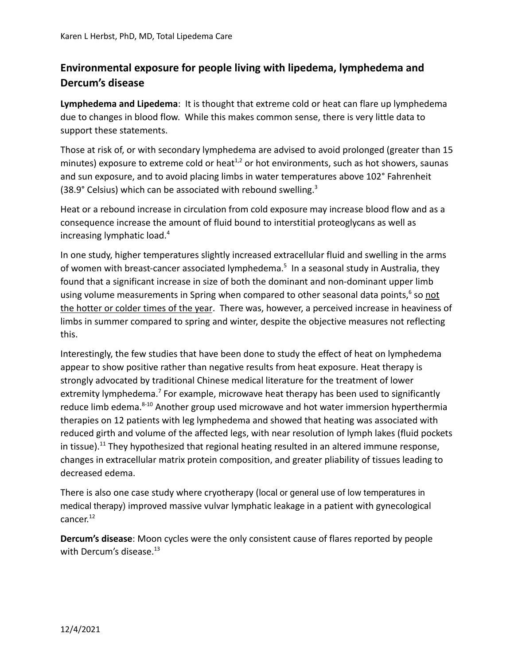## **Environmental exposure for people living with lipedema, lymphedema and Dercum's disease**

**Lymphedema and Lipedema**: It is thought that extreme cold or heat can flare up lymphedema due to changes in blood flow. While this makes common sense, there is very little data to support these statements.

Those at risk of, or with secondary lymphedema are advised to avoid prolonged (greater than 15 minutes) exposure to extreme cold or heat<sup>1,2</sup> or hot environments, such as hot showers, saunas and sun exposure, and to avoid placing limbs in water temperatures above 102° Fahrenheit (38.9° Celsius) which can be associated with rebound swelling.<sup>3</sup>

Heat or a rebound increase in circulation from cold exposure may increase blood flow and as a consequence increase the amount of fluid bound to interstitial proteoglycans as well as increasing lymphatic load.<sup>4</sup>

In one study, higher temperatures slightly increased extracellular fluid and swelling in the arms of women with breast-cancer associated lymphedema.<sup>5</sup> In a seasonal study in Australia, they found that a significant increase in size of both the dominant and non-dominant upper limb using volume measurements in Spring when compared to other seasonal data points,<sup>6</sup> so not the hotter or colder times of the year. There was, however, a perceived increase in heaviness of limbs in summer compared to spring and winter, despite the objective measures not reflecting this.

Interestingly, the few studies that have been done to study the effect of heat on lymphedema appear to show positive rather than negative results from heat exposure. Heat therapy is strongly advocated by traditional Chinese medical literature for the treatment of lower extremity lymphedema.<sup>7</sup> For example, microwave heat therapy has been used to significantly reduce limb edema.<sup>8-10</sup> Another group used microwave and hot water immersion hyperthermia therapies on 12 patients with leg lymphedema and showed that heating was associated with reduced girth and volume of the affected legs, with near resolution of lymph lakes (fluid pockets in tissue).<sup>11</sup> They hypothesized that regional heating resulted in an altered immune response, changes in extracellular matrix protein composition, and greater pliability of tissues leading to decreased edema.

There is also one case study where cryotherapy (local or general use of low temperatures in medical therapy) improved massive vulvar lymphatic leakage in a patient with gynecological cancer. 12

**Dercum's disease**: Moon cycles were the only consistent cause of flares reported by people with Dercum's disease.<sup>13</sup>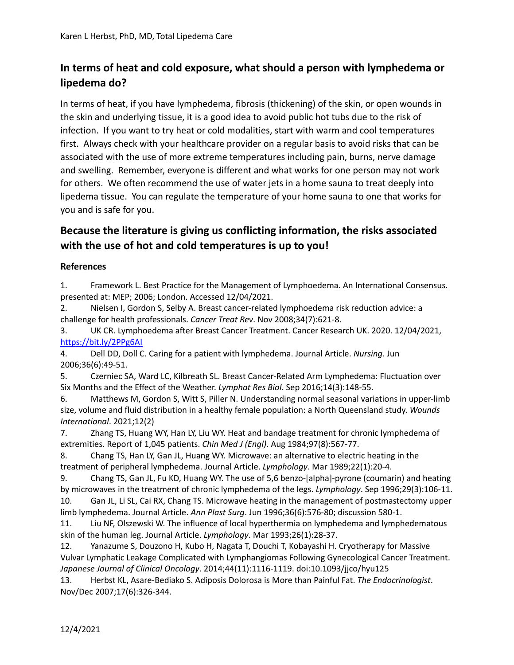## **In terms of heat and cold exposure, what should a person with lymphedema or lipedema do?**

In terms of heat, if you have lymphedema, fibrosis (thickening) of the skin, or open wounds in the skin and underlying tissue, it is a good idea to avoid public hot tubs due to the risk of infection. If you want to try heat or cold modalities, start with warm and cool temperatures first. Always check with your healthcare provider on a regular basis to avoid risks that can be associated with the use of more extreme temperatures including pain, burns, nerve damage and swelling. Remember, everyone is different and what works for one person may not work for others. We often recommend the use of water jets in a home sauna to treat deeply into lipedema tissue. You can regulate the temperature of your home sauna to one that works for you and is safe for you.

## **Because the literature is giving us conflicting information, the risks associated with the use of hot and cold temperatures is up to you!**

## **References**

1. Framework L. Best Practice for the Management of Lymphoedema. An International Consensus. presented at: MEP; 2006; London. Accessed 12/04/2021.

2. Nielsen I, Gordon S, Selby A. Breast cancer-related lymphoedema risk reduction advice: a challenge for health professionals. *Cancer Treat Rev*. Nov 2008;34(7):621-8.

3. UK CR. Lymphoedema after Breast Cancer Treatment. Cancer Research UK. 2020. 12/04/2021, <https://bit.ly/2PPg6AI>

4. Dell DD, Doll C. Caring for a patient with lymphedema. Journal Article. *Nursing*. Jun 2006;36(6):49-51.

5. Czerniec SA, Ward LC, Kilbreath SL. Breast Cancer-Related Arm Lymphedema: Fluctuation over Six Months and the Effect of the Weather. *Lymphat Res Biol*. Sep 2016;14(3):148-55.

6. Matthews M, Gordon S, Witt S, Piller N. Understanding normal seasonal variations in upper-limb size, volume and fluid distribution in a healthy female population: a North Queensland study. *Wounds International*. 2021;12(2)

7. Zhang TS, Huang WY, Han LY, Liu WY. Heat and bandage treatment for chronic lymphedema of extremities. Report of 1,045 patients. *Chin Med J (Engl)*. Aug 1984;97(8):567-77.

8. Chang TS, Han LY, Gan JL, Huang WY. Microwave: an alternative to electric heating in the treatment of peripheral lymphedema. Journal Article. *Lymphology*. Mar 1989;22(1):20-4.

9. Chang TS, Gan JL, Fu KD, Huang WY. The use of 5,6 benzo-[alpha]-pyrone (coumarin) and heating by microwaves in the treatment of chronic lymphedema of the legs. *Lymphology*. Sep 1996;29(3):106-11. 10. Gan JL, Li SL, Cai RX, Chang TS. Microwave heating in the management of postmastectomy upper

limb lymphedema. Journal Article. *Ann Plast Surg*. Jun 1996;36(6):576-80; discussion 580-1.

11. Liu NF, Olszewski W. The influence of local hyperthermia on lymphedema and lymphedematous skin of the human leg. Journal Article. *Lymphology*. Mar 1993;26(1):28-37.

12. Yanazume S, Douzono H, Kubo H, Nagata T, Douchi T, Kobayashi H. Cryotherapy for Massive Vulvar Lymphatic Leakage Complicated with Lymphangiomas Following Gynecological Cancer Treatment. *Japanese Journal of Clinical Oncology*. 2014;44(11):1116-1119. doi:10.1093/jjco/hyu125

13. Herbst KL, Asare-Bediako S. Adiposis Dolorosa is More than Painful Fat. *The Endocrinologist*. Nov/Dec 2007;17(6):326-344.